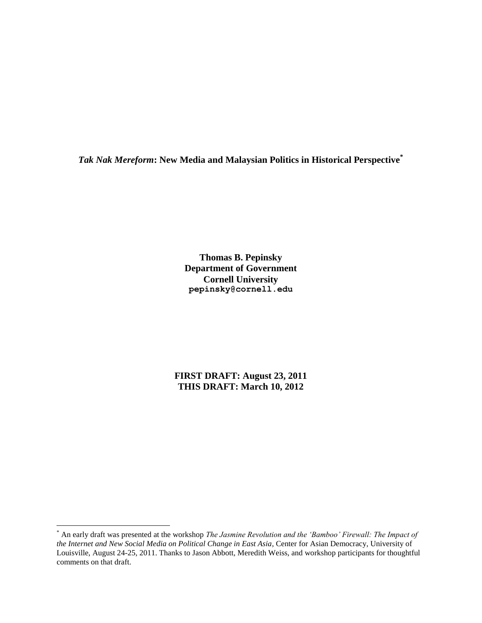*Tak Nak Mereform***: New Media and Malaysian Politics in Historical Perspective\***

**Thomas B. Pepinsky Department of Government Cornell University pepinsky@cornell.edu**

**FIRST DRAFT: August 23, 2011 THIS DRAFT: March 10, 2012**

<sup>\*</sup> An early draft was presented at the workshop *The Jasmine Revolution and the 'Bamboo' Firewall: The Impact of the Internet and New Social Media on Political Change in East Asia*, Center for Asian Democracy, University of Louisville, August 24-25, 2011. Thanks to Jason Abbott, Meredith Weiss, and workshop participants for thoughtful comments on that draft.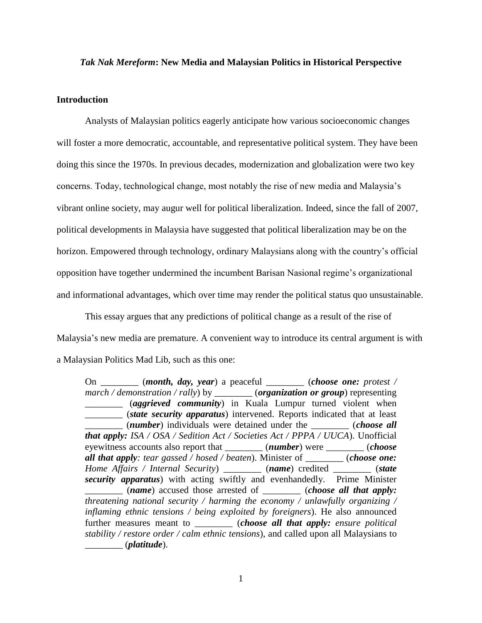## *Tak Nak Mereform***: New Media and Malaysian Politics in Historical Perspective**

## **Introduction**

Analysts of Malaysian politics eagerly anticipate how various socioeconomic changes will foster a more democratic, accountable, and representative political system. They have been doing this since the 1970s. In previous decades, modernization and globalization were two key concerns. Today, technological change, most notably the rise of new media and Malaysia's vibrant online society, may augur well for political liberalization. Indeed, since the fall of 2007, political developments in Malaysia have suggested that political liberalization may be on the horizon. Empowered through technology, ordinary Malaysians along with the country's official opposition have together undermined the incumbent Barisan Nasional regime's organizational and informational advantages, which over time may render the political status quo unsustainable.

This essay argues that any predictions of political change as a result of the rise of Malaysia's new media are premature. A convenient way to introduce its central argument is with a Malaysian Politics Mad Lib, such as this one:

On \_\_\_\_\_\_\_\_ (*month, day, year*) a peaceful \_\_\_\_\_\_\_\_ (*choose one: protest / march / demonstration / rally*) by \_\_\_\_\_\_\_\_ (*organization or group*) representing \_\_\_\_\_\_\_\_ (*aggrieved community*) in Kuala Lumpur turned violent when \_\_\_\_\_\_\_\_ (*state security apparatus*) intervened. Reports indicated that at least \_\_\_\_\_\_\_\_ (*number*) individuals were detained under the \_\_\_\_\_\_\_\_ (*choose all that apply: ISA / OSA / Sedition Act / Societies Act / PPPA / UUCA*). Unofficial eyewitness accounts also report that \_\_\_\_\_\_\_\_ (*number*) were \_\_\_\_\_\_\_\_ (*choose all that apply: tear gassed / hosed / beaten*). Minister of \_\_\_\_\_\_\_\_ (*choose one: Home Affairs / Internal Security*) \_\_\_\_\_\_\_\_ (*name*) credited \_\_\_\_\_\_\_\_ (*state security apparatus*) with acting swiftly and evenhandedly. Prime Minister \_\_\_\_\_\_\_\_ (*name*) accused those arrested of \_\_\_\_\_\_\_\_ (*choose all that apply: threatening national security / harming the economy / unlawfully organizing / inflaming ethnic tensions / being exploited by foreigners*). He also announced further measures meant to \_\_\_\_\_\_\_\_ (*choose all that apply: ensure political stability / restore order / calm ethnic tensions*), and called upon all Malaysians to \_\_\_\_\_\_\_\_ (*platitude*).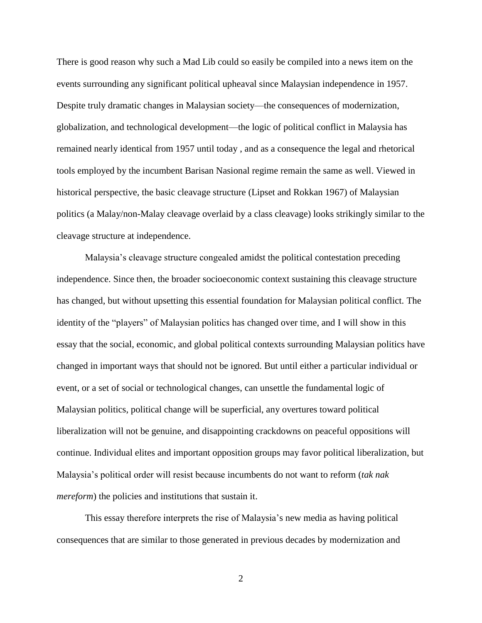There is good reason why such a Mad Lib could so easily be compiled into a news item on the events surrounding any significant political upheaval since Malaysian independence in 1957. Despite truly dramatic changes in Malaysian society—the consequences of modernization, globalization, and technological development—the logic of political conflict in Malaysia has remained nearly identical from 1957 until today , and as a consequence the legal and rhetorical tools employed by the incumbent Barisan Nasional regime remain the same as well. Viewed in historical perspective, the basic cleavage structure [\(Lipset and Rokkan 1967\)](#page-22-0) of Malaysian politics (a Malay/non-Malay cleavage overlaid by a class cleavage) looks strikingly similar to the cleavage structure at independence.

Malaysia's cleavage structure congealed amidst the political contestation preceding independence. Since then, the broader socioeconomic context sustaining this cleavage structure has changed, but without upsetting this essential foundation for Malaysian political conflict. The identity of the "players" of Malaysian politics has changed over time, and I will show in this essay that the social, economic, and global political contexts surrounding Malaysian politics have changed in important ways that should not be ignored. But until either a particular individual or event, or a set of social or technological changes, can unsettle the fundamental logic of Malaysian politics, political change will be superficial, any overtures toward political liberalization will not be genuine, and disappointing crackdowns on peaceful oppositions will continue. Individual elites and important opposition groups may favor political liberalization, but Malaysia's political order will resist because incumbents do not want to reform (*tak nak mereform*) the policies and institutions that sustain it.

This essay therefore interprets the rise of Malaysia's new media as having political consequences that are similar to those generated in previous decades by modernization and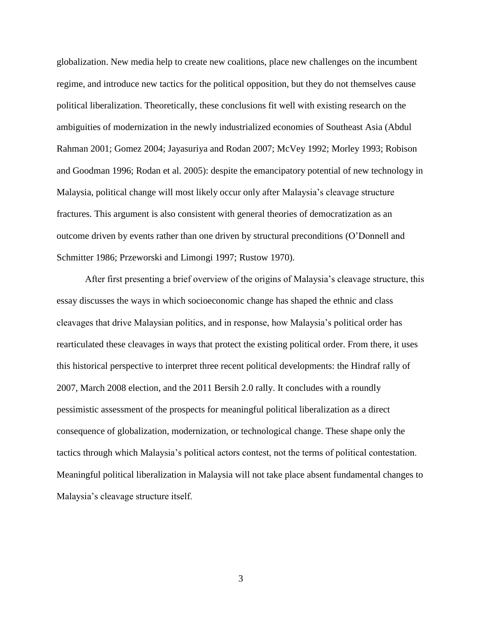globalization. New media help to create new coalitions, place new challenges on the incumbent regime, and introduce new tactics for the political opposition, but they do not themselves cause political liberalization. Theoretically, these conclusions fit well with existing research on the ambiguities of modernization in the newly industrialized economies of Southeast Asia [\(Abdul](#page-20-0)  [Rahman 2001;](#page-20-0) [Gomez 2004;](#page-21-0) [Jayasuriya and Rodan 2007;](#page-22-1) [McVey 1992;](#page-22-2) [Morley 1993;](#page-22-3) [Robison](#page-23-0)  [and Goodman 1996;](#page-23-0) [Rodan et al. 2005\)](#page-23-1): despite the emancipatory potential of new technology in Malaysia, political change will most likely occur only after Malaysia's cleavage structure fractures. This argument is also consistent with general theories of democratization as an outcome driven by events rather than one driven by structural preconditions [\(O'Donnell and](#page-23-2)  [Schmitter 1986;](#page-23-2) [Przeworski and Limongi 1997;](#page-23-3) [Rustow 1970\)](#page-23-4).

After first presenting a brief overview of the origins of Malaysia's cleavage structure, this essay discusses the ways in which socioeconomic change has shaped the ethnic and class cleavages that drive Malaysian politics, and in response, how Malaysia's political order has rearticulated these cleavages in ways that protect the existing political order. From there, it uses this historical perspective to interpret three recent political developments: the Hindraf rally of 2007, March 2008 election, and the 2011 Bersih 2.0 rally. It concludes with a roundly pessimistic assessment of the prospects for meaningful political liberalization as a direct consequence of globalization, modernization, or technological change. These shape only the tactics through which Malaysia's political actors contest, not the terms of political contestation. Meaningful political liberalization in Malaysia will not take place absent fundamental changes to Malaysia's cleavage structure itself.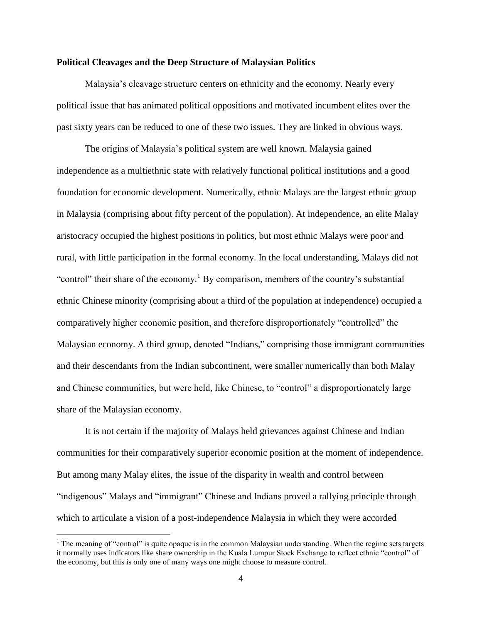## **Political Cleavages and the Deep Structure of Malaysian Politics**

Malaysia's cleavage structure centers on ethnicity and the economy. Nearly every political issue that has animated political oppositions and motivated incumbent elites over the past sixty years can be reduced to one of these two issues. They are linked in obvious ways.

The origins of Malaysia's political system are well known. Malaysia gained independence as a multiethnic state with relatively functional political institutions and a good foundation for economic development. Numerically, ethnic Malays are the largest ethnic group in Malaysia (comprising about fifty percent of the population). At independence, an elite Malay aristocracy occupied the highest positions in politics, but most ethnic Malays were poor and rural, with little participation in the formal economy. In the local understanding, Malays did not "control" their share of the economy.<sup>1</sup> By comparison, members of the country's substantial ethnic Chinese minority (comprising about a third of the population at independence) occupied a comparatively higher economic position, and therefore disproportionately "controlled" the Malaysian economy. A third group, denoted "Indians," comprising those immigrant communities and their descendants from the Indian subcontinent, were smaller numerically than both Malay and Chinese communities, but were held, like Chinese, to "control" a disproportionately large share of the Malaysian economy.

It is not certain if the majority of Malays held grievances against Chinese and Indian communities for their comparatively superior economic position at the moment of independence. But among many Malay elites, the issue of the disparity in wealth and control between "indigenous" Malays and "immigrant" Chinese and Indians proved a rallying principle through which to articulate a vision of a post-independence Malaysia in which they were accorded

<sup>&</sup>lt;sup>1</sup> The meaning of "control" is quite opaque is in the common Malaysian understanding. When the regime sets targets it normally uses indicators like share ownership in the Kuala Lumpur Stock Exchange to reflect ethnic "control" of the economy, but this is only one of many ways one might choose to measure control.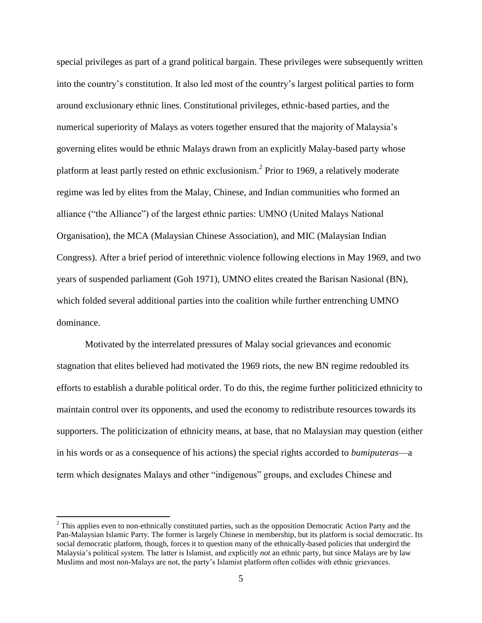special privileges as part of a grand political bargain. These privileges were subsequently written into the country's constitution. It also led most of the country's largest political parties to form around exclusionary ethnic lines. Constitutional privileges, ethnic-based parties, and the numerical superiority of Malays as voters together ensured that the majority of Malaysia's governing elites would be ethnic Malays drawn from an explicitly Malay-based party whose platform at least partly rested on ethnic exclusionism.<sup>2</sup> Prior to 1969, a relatively moderate regime was led by elites from the Malay, Chinese, and Indian communities who formed an alliance ("the Alliance") of the largest ethnic parties: UMNO (United Malays National Organisation), the MCA (Malaysian Chinese Association), and MIC (Malaysian Indian Congress). After a brief period of interethnic violence following elections in May 1969, and two years of suspended parliament [\(Goh 1971\)](#page-21-1), UMNO elites created the Barisan Nasional (BN), which folded several additional parties into the coalition while further entrenching UMNO dominance.

Motivated by the interrelated pressures of Malay social grievances and economic stagnation that elites believed had motivated the 1969 riots, the new BN regime redoubled its efforts to establish a durable political order. To do this, the regime further politicized ethnicity to maintain control over its opponents, and used the economy to redistribute resources towards its supporters. The politicization of ethnicity means, at base, that no Malaysian may question (either in his words or as a consequence of his actions) the special rights accorded to *bumiputeras*—a term which designates Malays and other "indigenous" groups, and excludes Chinese and

 $2$  This applies even to non-ethnically constituted parties, such as the opposition Democratic Action Party and the Pan-Malaysian Islamic Party. The former is largely Chinese in membership, but its platform is social democratic. Its social democratic platform, though, forces it to question many of the ethnically-based policies that undergird the Malaysia's political system. The latter is Islamist, and explicitly *not* an ethnic party, but since Malays are by law Muslims and most non-Malays are not, the party's Islamist platform often collides with ethnic grievances.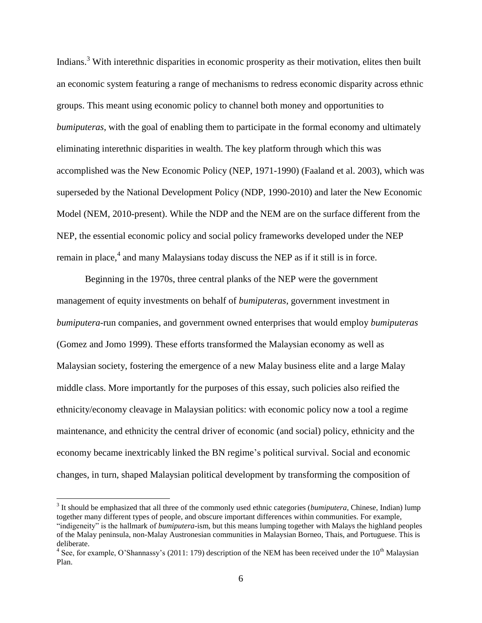Indians.<sup>3</sup> With interethnic disparities in economic prosperity as their motivation, elites then built an economic system featuring a range of mechanisms to redress economic disparity across ethnic groups. This meant using economic policy to channel both money and opportunities to *bumiputeras*, with the goal of enabling them to participate in the formal economy and ultimately eliminating interethnic disparities in wealth. The key platform through which this was accomplished was the New Economic Policy (NEP, 1971-1990) [\(Faaland et al. 2003\)](#page-21-2), which was superseded by the National Development Policy (NDP, 1990-2010) and later the New Economic Model (NEM, 2010-present). While the NDP and the NEM are on the surface different from the NEP, the essential economic policy and social policy frameworks developed under the NEP remain in place, $4$  and many Malaysians today discuss the NEP as if it still is in force.

Beginning in the 1970s, three central planks of the NEP were the government management of equity investments on behalf of *bumiputeras*, government investment in *bumiputera*-run companies, and government owned enterprises that would employ *bumiputeras* [\(Gomez and Jomo 1999\)](#page-21-3). These efforts transformed the Malaysian economy as well as Malaysian society, fostering the emergence of a new Malay business elite and a large Malay middle class. More importantly for the purposes of this essay, such policies also reified the ethnicity/economy cleavage in Malaysian politics: with economic policy now a tool a regime maintenance, and ethnicity the central driver of economic (and social) policy, ethnicity and the economy became inextricably linked the BN regime's political survival. Social and economic changes, in turn, shaped Malaysian political development by transforming the composition of

<sup>&</sup>lt;sup>3</sup> It should be emphasized that all three of the commonly used ethnic categories (*bumiputera*, Chinese, Indian) lump together many different types of people, and obscure important differences within communities. For example, "indigeneity" is the hallmark of *bumiputera-*ism, but this means lumping together with Malays the highland peoples of the Malay peninsula, non-Malay Austronesian communities in Malaysian Borneo, Thais, and Portuguese. This is deliberate.

<sup>&</sup>lt;sup>4</sup> See, for example, O'Shannassy's [\(2011: 179\)](#page-23-5) description of the NEM has been received under the 10<sup>th</sup> Malaysian Plan.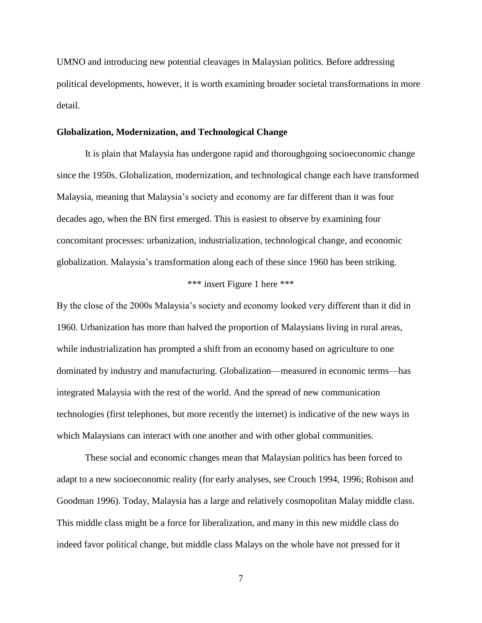UMNO and introducing new potential cleavages in Malaysian politics. Before addressing political developments, however, it is worth examining broader societal transformations in more detail.

### **Globalization, Modernization, and Technological Change**

It is plain that Malaysia has undergone rapid and thoroughgoing socioeconomic change since the 1950s. Globalization, modernization, and technological change each have transformed Malaysia, meaning that Malaysia's society and economy are far different than it was four decades ago, when the BN first emerged. This is easiest to observe by examining four concomitant processes: urbanization, industrialization, technological change, and economic globalization. Malaysia's transformation along each of these since 1960 has been striking.

## \*\*\* insert [Figure 1](#page-25-0) here \*\*\*

By the close of the 2000s Malaysia's society and economy looked very different than it did in 1960. Urbanization has more than halved the proportion of Malaysians living in rural areas, while industrialization has prompted a shift from an economy based on agriculture to one dominated by industry and manufacturing. Globalization—measured in economic terms—has integrated Malaysia with the rest of the world. And the spread of new communication technologies (first telephones, but more recently the internet) is indicative of the new ways in which Malaysians can interact with one another and with other global communities.

These social and economic changes mean that Malaysian politics has been forced to adapt to a new socioeconomic reality (for early analyses, see [Crouch 1994,](#page-21-4) [1996;](#page-21-5) [Robison and](#page-23-0)  [Goodman 1996\)](#page-23-0). Today, Malaysia has a large and relatively cosmopolitan Malay middle class. This middle class might be a force for liberalization, and many in this new middle class do indeed favor political change, but middle class Malays on the whole have not pressed for it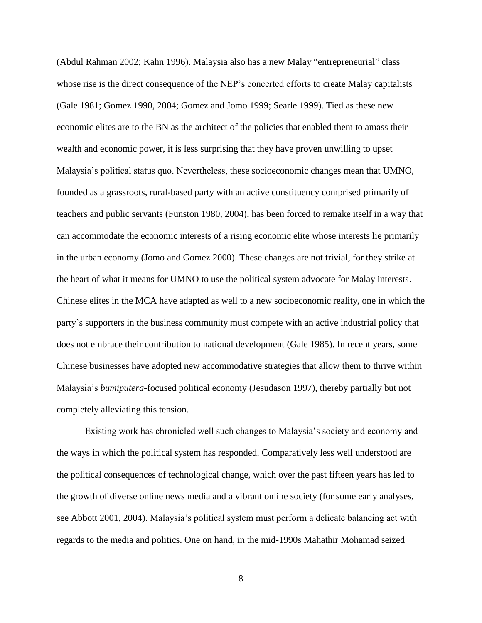[\(Abdul Rahman 2002;](#page-20-1) [Kahn 1996\)](#page-22-4). Malaysia also has a new Malay "entrepreneurial" class whose rise is the direct consequence of the NEP's concerted efforts to create Malay capitalists [\(Gale 1981;](#page-21-6) [Gomez 1990,](#page-21-7) [2004;](#page-21-0) [Gomez and Jomo 1999;](#page-21-3) [Searle 1999\)](#page-23-6). Tied as these new economic elites are to the BN as the architect of the policies that enabled them to amass their wealth and economic power, it is less surprising that they have proven unwilling to upset Malaysia's political status quo. Nevertheless, these socioeconomic changes mean that UMNO, founded as a grassroots, rural-based party with an active constituency comprised primarily of teachers and public servants [\(Funston 1980,](#page-21-8) [2004\)](#page-21-9), has been forced to remake itself in a way that can accommodate the economic interests of a rising economic elite whose interests lie primarily in the urban economy [\(Jomo and Gomez 2000\)](#page-22-5). These changes are not trivial, for they strike at the heart of what it means for UMNO to use the political system advocate for Malay interests. Chinese elites in the MCA have adapted as well to a new socioeconomic reality, one in which the party's supporters in the business community must compete with an active industrial policy that does not embrace their contribution to national development [\(Gale 1985\)](#page-21-10). In recent years, some Chinese businesses have adopted new accommodative strategies that allow them to thrive within Malaysia's *bumiputera*-focused political economy [\(Jesudason 1997\)](#page-22-6), thereby partially but not completely alleviating this tension.

Existing work has chronicled well such changes to Malaysia's society and economy and the ways in which the political system has responded. Comparatively less well understood are the political consequences of technological change, which over the past fifteen years has led to the growth of diverse online news media and a vibrant online society (for some early analyses, see [Abbott 2001,](#page-20-2) [2004\)](#page-20-3). Malaysia's political system must perform a delicate balancing act with regards to the media and politics. One on hand, in the mid-1990s Mahathir Mohamad seized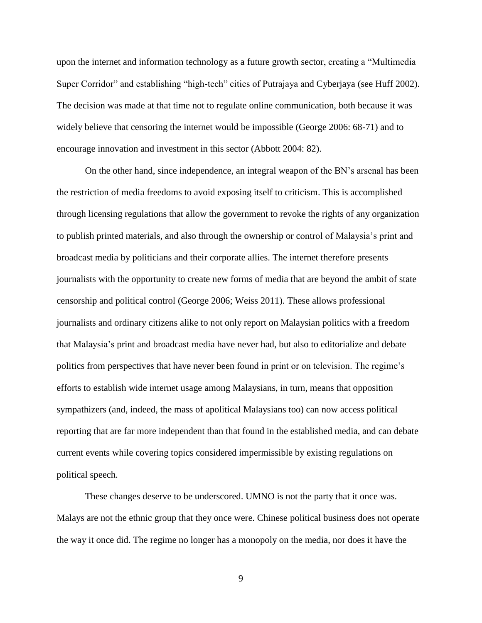upon the internet and information technology as a future growth sector, creating a "Multimedia Super Corridor" and establishing "high-tech" cities of Putrajaya and Cyberjaya [\(see Huff 2002\)](#page-22-7). The decision was made at that time not to regulate online communication, both because it was widely believe that censoring the internet would be impossible [\(George 2006: 68-71\)](#page-21-11) and to encourage innovation and investment in this sector [\(Abbott 2004: 82\)](#page-20-3).

On the other hand, since independence, an integral weapon of the BN's arsenal has been the restriction of media freedoms to avoid exposing itself to criticism. This is accomplished through licensing regulations that allow the government to revoke the rights of any organization to publish printed materials, and also through the ownership or control of Malaysia's print and broadcast media by politicians and their corporate allies. The internet therefore presents journalists with the opportunity to create new forms of media that are beyond the ambit of state censorship and political control [\(George 2006;](#page-21-11) [Weiss 2011\)](#page-24-0). These allows professional journalists and ordinary citizens alike to not only report on Malaysian politics with a freedom that Malaysia's print and broadcast media have never had, but also to editorialize and debate politics from perspectives that have never been found in print or on television. The regime's efforts to establish wide internet usage among Malaysians, in turn, means that opposition sympathizers (and, indeed, the mass of apolitical Malaysians too) can now access political reporting that are far more independent than that found in the established media, and can debate current events while covering topics considered impermissible by existing regulations on political speech.

These changes deserve to be underscored. UMNO is not the party that it once was. Malays are not the ethnic group that they once were. Chinese political business does not operate the way it once did. The regime no longer has a monopoly on the media, nor does it have the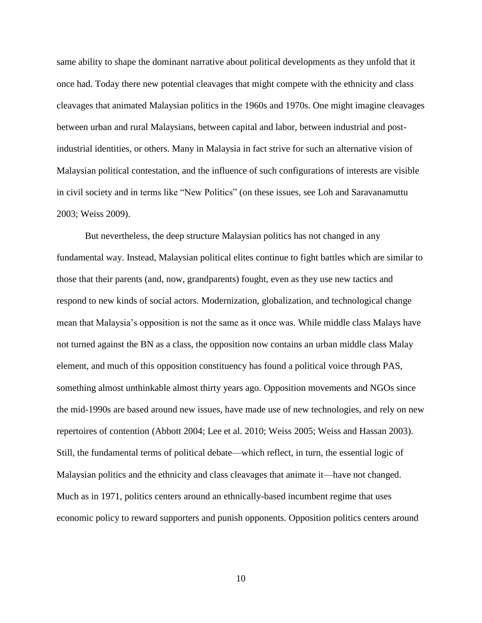same ability to shape the dominant narrative about political developments as they unfold that it once had. Today there new potential cleavages that might compete with the ethnicity and class cleavages that animated Malaysian politics in the 1960s and 1970s. One might imagine cleavages between urban and rural Malaysians, between capital and labor, between industrial and postindustrial identities, or others. Many in Malaysia in fact strive for such an alternative vision of Malaysian political contestation, and the influence of such configurations of interests are visible in civil society and in terms like "New Politics" (on these issues, see [Loh and Saravanamuttu](#page-22-8)  [2003;](#page-22-8) [Weiss 2009\)](#page-24-1).

But nevertheless, the deep structure Malaysian politics has not changed in any fundamental way. Instead, Malaysian political elites continue to fight battles which are similar to those that their parents (and, now, grandparents) fought, even as they use new tactics and respond to new kinds of social actors. Modernization, globalization, and technological change mean that Malaysia's opposition is not the same as it once was. While middle class Malays have not turned against the BN as a class, the opposition now contains an urban middle class Malay element, and much of this opposition constituency has found a political voice through PAS, something almost unthinkable almost thirty years ago. Opposition movements and NGOs since the mid-1990s are based around new issues, have made use of new technologies, and rely on new repertoires of contention [\(Abbott 2004;](#page-20-3) [Lee et al. 2010;](#page-22-9) [Weiss 2005;](#page-23-7) [Weiss and Hassan 2003\)](#page-24-2). Still, the fundamental terms of political debate—which reflect, in turn, the essential logic of Malaysian politics and the ethnicity and class cleavages that animate it—have not changed. Much as in 1971, politics centers around an ethnically-based incumbent regime that uses economic policy to reward supporters and punish opponents. Opposition politics centers around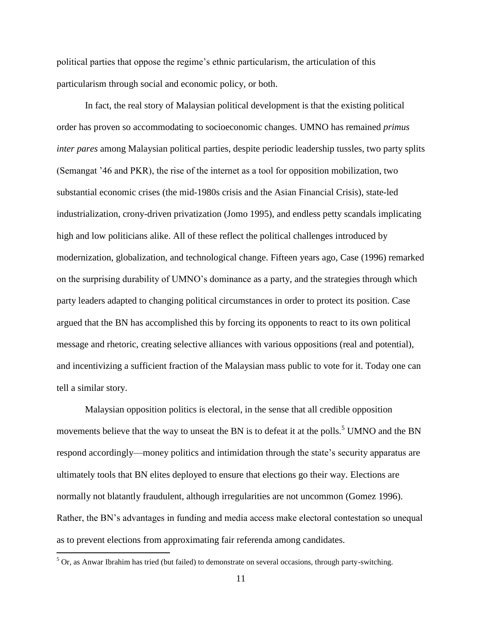political parties that oppose the regime's ethnic particularism, the articulation of this particularism through social and economic policy, or both.

In fact, the real story of Malaysian political development is that the existing political order has proven so accommodating to socioeconomic changes. UMNO has remained *primus inter pares* among Malaysian political parties, despite periodic leadership tussles, two party splits (Semangat '46 and PKR), the rise of the internet as a tool for opposition mobilization, two substantial economic crises (the mid-1980s crisis and the Asian Financial Crisis), state-led industrialization, crony-driven privatization [\(Jomo 1995\)](#page-22-10), and endless petty scandals implicating high and low politicians alike. All of these reflect the political challenges introduced by modernization, globalization, and technological change. Fifteen years ago, Case [\(1996\)](#page-20-4) remarked on the surprising durability of UMNO's dominance as a party, and the strategies through which party leaders adapted to changing political circumstances in order to protect its position. Case argued that the BN has accomplished this by forcing its opponents to react to its own political message and rhetoric, creating selective alliances with various oppositions (real and potential), and incentivizing a sufficient fraction of the Malaysian mass public to vote for it. Today one can tell a similar story.

Malaysian opposition politics is electoral, in the sense that all credible opposition movements believe that the way to unseat the BN is to defeat it at the polls.<sup>5</sup> UMNO and the BN respond accordingly—money politics and intimidation through the state's security apparatus are ultimately tools that BN elites deployed to ensure that elections go their way. Elections are normally not blatantly fraudulent, although irregularities are not uncommon [\(Gomez 1996\)](#page-21-12). Rather, the BN's advantages in funding and media access make electoral contestation so unequal as to prevent elections from approximating fair referenda among candidates.

 $5$  Or, as Anwar Ibrahim has tried (but failed) to demonstrate on several occasions, through party-switching.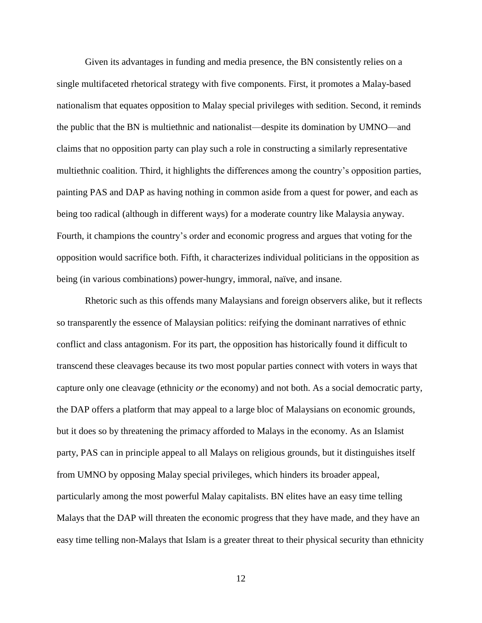Given its advantages in funding and media presence, the BN consistently relies on a single multifaceted rhetorical strategy with five components. First, it promotes a Malay-based nationalism that equates opposition to Malay special privileges with sedition. Second, it reminds the public that the BN is multiethnic and nationalist—despite its domination by UMNO—and claims that no opposition party can play such a role in constructing a similarly representative multiethnic coalition. Third, it highlights the differences among the country's opposition parties, painting PAS and DAP as having nothing in common aside from a quest for power, and each as being too radical (although in different ways) for a moderate country like Malaysia anyway. Fourth, it champions the country's order and economic progress and argues that voting for the opposition would sacrifice both. Fifth, it characterizes individual politicians in the opposition as being (in various combinations) power-hungry, immoral, naïve, and insane.

Rhetoric such as this offends many Malaysians and foreign observers alike, but it reflects so transparently the essence of Malaysian politics: reifying the dominant narratives of ethnic conflict and class antagonism. For its part, the opposition has historically found it difficult to transcend these cleavages because its two most popular parties connect with voters in ways that capture only one cleavage (ethnicity *or* the economy) and not both. As a social democratic party, the DAP offers a platform that may appeal to a large bloc of Malaysians on economic grounds, but it does so by threatening the primacy afforded to Malays in the economy. As an Islamist party, PAS can in principle appeal to all Malays on religious grounds, but it distinguishes itself from UMNO by opposing Malay special privileges, which hinders its broader appeal, particularly among the most powerful Malay capitalists. BN elites have an easy time telling Malays that the DAP will threaten the economic progress that they have made, and they have an easy time telling non-Malays that Islam is a greater threat to their physical security than ethnicity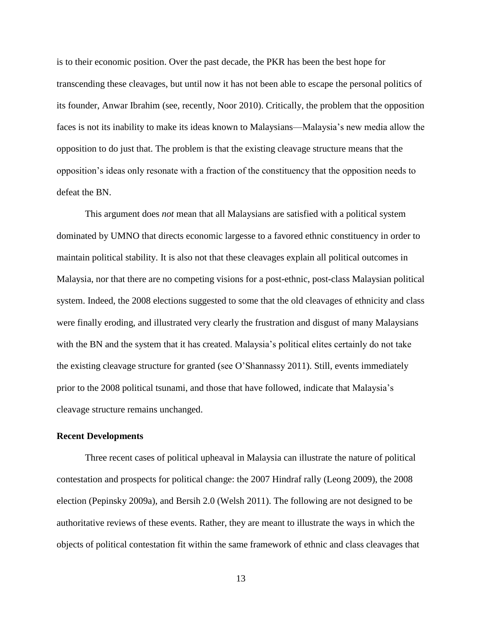is to their economic position. Over the past decade, the PKR has been the best hope for transcending these cleavages, but until now it has not been able to escape the personal politics of its founder, Anwar Ibrahim [\(see, recently, Noor 2010\)](#page-23-8). Critically, the problem that the opposition faces is not its inability to make its ideas known to Malaysians—Malaysia's new media allow the opposition to do just that. The problem is that the existing cleavage structure means that the opposition's ideas only resonate with a fraction of the constituency that the opposition needs to defeat the BN.

This argument does *not* mean that all Malaysians are satisfied with a political system dominated by UMNO that directs economic largesse to a favored ethnic constituency in order to maintain political stability. It is also not that these cleavages explain all political outcomes in Malaysia, nor that there are no competing visions for a post-ethnic, post-class Malaysian political system. Indeed, the 2008 elections suggested to some that the old cleavages of ethnicity and class were finally eroding, and illustrated very clearly the frustration and disgust of many Malaysians with the BN and the system that it has created. Malaysia's political elites certainly do not take the existing cleavage structure for granted [\(see O'Shannassy](#page-23-5) 2011). Still, events immediately prior to the 2008 political tsunami, and those that have followed, indicate that Malaysia's cleavage structure remains unchanged.

#### **Recent Developments**

Three recent cases of political upheaval in Malaysia can illustrate the nature of political contestation and prospects for political change: the 2007 Hindraf rally [\(Leong 2009\)](#page-22-11), the 2008 election [\(Pepinsky 2009a\)](#page-23-9), and Bersih 2.0 [\(Welsh 2011\)](#page-24-3). The following are not designed to be authoritative reviews of these events. Rather, they are meant to illustrate the ways in which the objects of political contestation fit within the same framework of ethnic and class cleavages that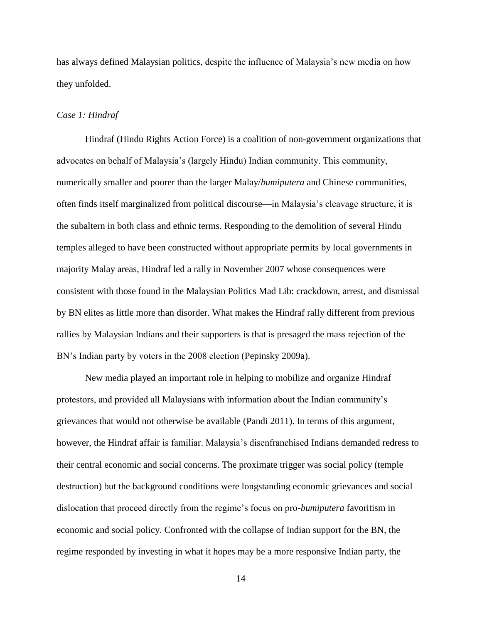has always defined Malaysian politics, despite the influence of Malaysia's new media on how they unfolded.

## *Case 1: Hindraf*

Hindraf (Hindu Rights Action Force) is a coalition of non-government organizations that advocates on behalf of Malaysia's (largely Hindu) Indian community. This community, numerically smaller and poorer than the larger Malay/*bumiputera* and Chinese communities, often finds itself marginalized from political discourse—in Malaysia's cleavage structure, it is the subaltern in both class and ethnic terms. Responding to the demolition of several Hindu temples alleged to have been constructed without appropriate permits by local governments in majority Malay areas, Hindraf led a rally in November 2007 whose consequences were consistent with those found in the Malaysian Politics Mad Lib: crackdown, arrest, and dismissal by BN elites as little more than disorder. What makes the Hindraf rally different from previous rallies by Malaysian Indians and their supporters is that is presaged the mass rejection of the BN's Indian party by voters in the 2008 election [\(Pepinsky 2009a\)](#page-23-9).

New media played an important role in helping to mobilize and organize Hindraf protestors, and provided all Malaysians with information about the Indian community's grievances that would not otherwise be available [\(Pandi 2011\)](#page-23-10). In terms of this argument, however, the Hindraf affair is familiar. Malaysia's disenfranchised Indians demanded redress to their central economic and social concerns. The proximate trigger was social policy (temple destruction) but the background conditions were longstanding economic grievances and social dislocation that proceed directly from the regime's focus on pro-*bumiputera* favoritism in economic and social policy. Confronted with the collapse of Indian support for the BN, the regime responded by investing in what it hopes may be a more responsive Indian party, the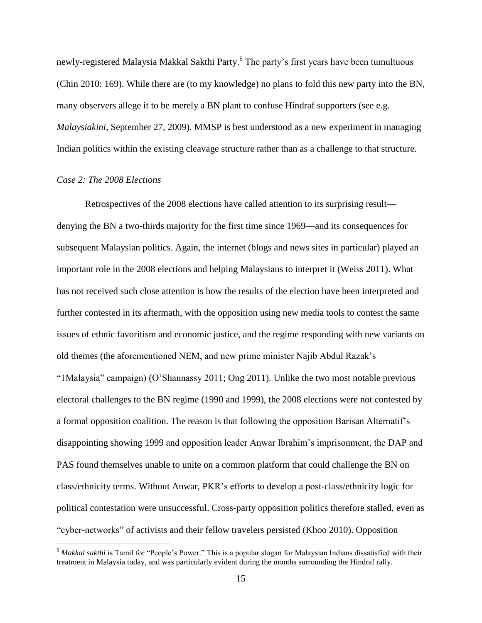newly-registered Malaysia Makkal Sakthi Party. 6 The party's first years have been tumultuous [\(Chin 2010: 169\)](#page-21-13). While there are (to my knowledge) no plans to fold this new party into the BN, many observers allege it to be merely a BN plant to confuse Hindraf supporters (see e.g. *Malaysiakini*, September 27, 2009). MMSP is best understood as a new experiment in managing Indian politics within the existing cleavage structure rather than as a challenge to that structure.

## *Case 2: The 2008 Elections*

 $\overline{a}$ 

Retrospectives of the 2008 elections have called attention to its surprising result denying the BN a two-thirds majority for the first time since 1969—and its consequences for subsequent Malaysian politics. Again, the internet (blogs and news sites in particular) played an important role in the 2008 elections and helping Malaysians to interpret it [\(Weiss 2011\)](#page-24-0). What has not received such close attention is how the results of the election have been interpreted and further contested in its aftermath, with the opposition using new media tools to contest the same issues of ethnic favoritism and economic justice, and the regime responding with new variants on old themes (the aforementioned NEM, and new prime minister Najib Abdul Razak's "1Malaysia" campaign) [\(O'Shannassy 2011;](#page-23-5) [Ong 2011\)](#page-23-11). Unlike the two most notable previous electoral challenges to the BN regime (1990 and 1999), the 2008 elections were not contested by a formal opposition coalition. The reason is that following the opposition Barisan Alternatif's disappointing showing 1999 and opposition leader Anwar Ibrahim's imprisonment, the DAP and PAS found themselves unable to unite on a common platform that could challenge the BN on class/ethnicity terms. Without Anwar, PKR's efforts to develop a post-class/ethnicity logic for political contestation were unsuccessful. Cross-party opposition politics therefore stalled, even as "cyber-networks" of activists and their fellow travelers persisted [\(Khoo 2010\)](#page-22-12). Opposition

<sup>&</sup>lt;sup>6</sup> Makkal sakthi is Tamil for "People's Power." This is a popular slogan for Malaysian Indians dissatisfied with their treatment in Malaysia today, and was particularly evident during the months surrounding the Hindraf rally.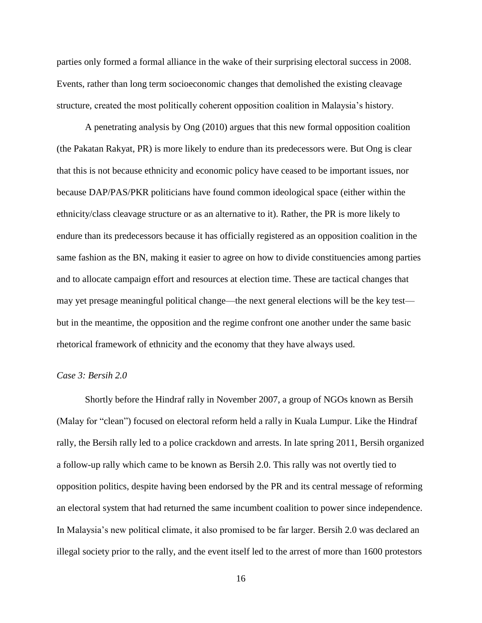parties only formed a formal alliance in the wake of their surprising electoral success in 2008. Events, rather than long term socioeconomic changes that demolished the existing cleavage structure, created the most politically coherent opposition coalition in Malaysia's history.

A penetrating analysis by Ong [\(2010\)](#page-23-12) argues that this new formal opposition coalition (the Pakatan Rakyat, PR) is more likely to endure than its predecessors were. But Ong is clear that this is not because ethnicity and economic policy have ceased to be important issues, nor because DAP/PAS/PKR politicians have found common ideological space (either within the ethnicity/class cleavage structure or as an alternative to it). Rather, the PR is more likely to endure than its predecessors because it has officially registered as an opposition coalition in the same fashion as the BN, making it easier to agree on how to divide constituencies among parties and to allocate campaign effort and resources at election time. These are tactical changes that may yet presage meaningful political change—the next general elections will be the key test but in the meantime, the opposition and the regime confront one another under the same basic rhetorical framework of ethnicity and the economy that they have always used.

## *Case 3: Bersih 2.0*

Shortly before the Hindraf rally in November 2007, a group of NGOs known as Bersih (Malay for "clean") focused on electoral reform held a rally in Kuala Lumpur. Like the Hindraf rally, the Bersih rally led to a police crackdown and arrests. In late spring 2011, Bersih organized a follow-up rally which came to be known as Bersih 2.0. This rally was not overtly tied to opposition politics, despite having been endorsed by the PR and its central message of reforming an electoral system that had returned the same incumbent coalition to power since independence. In Malaysia's new political climate, it also promised to be far larger. Bersih 2.0 was declared an illegal society prior to the rally, and the event itself led to the arrest of more than 1600 protestors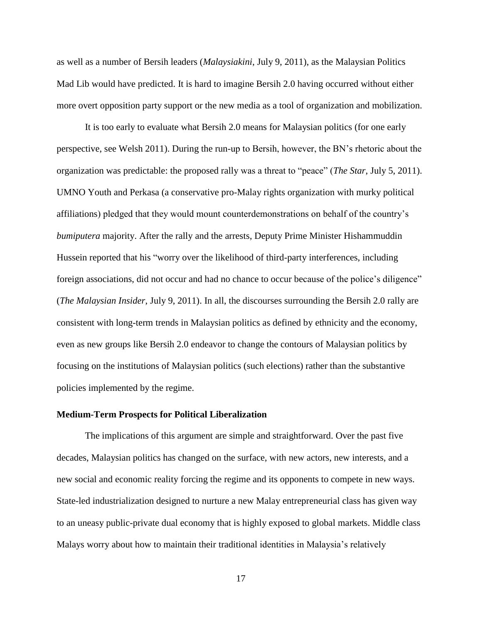as well as a number of Bersih leaders (*Malaysiakini*, July 9, 2011), as the Malaysian Politics Mad Lib would have predicted. It is hard to imagine Bersih 2.0 having occurred without either more overt opposition party support or the new media as a tool of organization and mobilization.

It is too early to evaluate what Bersih 2.0 means for Malaysian politics [\(for one early](#page-24-3)  [perspective, see Welsh 2011\)](#page-24-3). During the run-up to Bersih, however, the BN's rhetoric about the organization was predictable: the proposed rally was a threat to "peace" (*The Star*, July 5, 2011). UMNO Youth and Perkasa (a conservative pro-Malay rights organization with murky political affiliations) pledged that they would mount counterdemonstrations on behalf of the country's *bumiputera* majority. After the rally and the arrests, Deputy Prime Minister Hishammuddin Hussein reported that his "worry over the likelihood of third-party interferences, including foreign associations, did not occur and had no chance to occur because of the police's diligence" (*The Malaysian Insider*, July 9, 2011). In all, the discourses surrounding the Bersih 2.0 rally are consistent with long-term trends in Malaysian politics as defined by ethnicity and the economy, even as new groups like Bersih 2.0 endeavor to change the contours of Malaysian politics by focusing on the institutions of Malaysian politics (such elections) rather than the substantive policies implemented by the regime.

## **Medium-Term Prospects for Political Liberalization**

The implications of this argument are simple and straightforward. Over the past five decades, Malaysian politics has changed on the surface, with new actors, new interests, and a new social and economic reality forcing the regime and its opponents to compete in new ways. State-led industrialization designed to nurture a new Malay entrepreneurial class has given way to an uneasy public-private dual economy that is highly exposed to global markets. Middle class Malays worry about how to maintain their traditional identities in Malaysia's relatively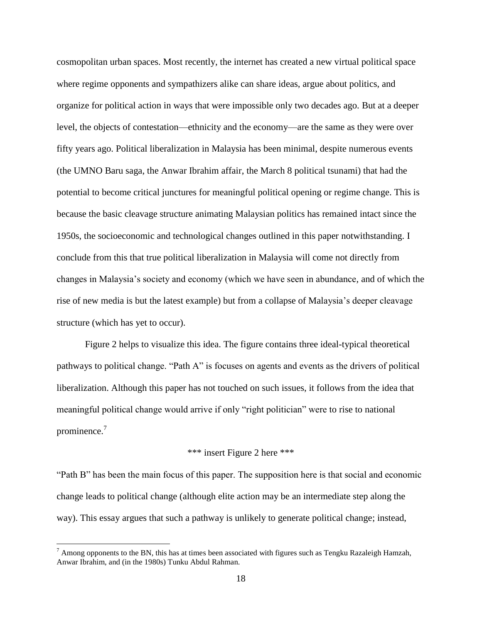cosmopolitan urban spaces. Most recently, the internet has created a new virtual political space where regime opponents and sympathizers alike can share ideas, argue about politics, and organize for political action in ways that were impossible only two decades ago. But at a deeper level, the objects of contestation—ethnicity and the economy—are the same as they were over fifty years ago. Political liberalization in Malaysia has been minimal, despite numerous events (the UMNO Baru saga, the Anwar Ibrahim affair, the March 8 political tsunami) that had the potential to become critical junctures for meaningful political opening or regime change. This is because the basic cleavage structure animating Malaysian politics has remained intact since the 1950s, the socioeconomic and technological changes outlined in this paper notwithstanding. I conclude from this that true political liberalization in Malaysia will come not directly from changes in Malaysia's society and economy (which we have seen in abundance, and of which the rise of new media is but the latest example) but from a collapse of Malaysia's deeper cleavage structure (which has yet to occur).

[Figure 2](#page-26-0) helps to visualize this idea. The figure contains three ideal-typical theoretical pathways to political change. "Path A" is focuses on agents and events as the drivers of political liberalization. Although this paper has not touched on such issues, it follows from the idea that meaningful political change would arrive if only "right politician" were to rise to national prominence.<sup>7</sup>

# \*\*\* insert [Figure 2](#page-26-0) here \*\*\*

"Path B" has been the main focus of this paper. The supposition here is that social and economic change leads to political change (although elite action may be an intermediate step along the way). This essay argues that such a pathway is unlikely to generate political change; instead,

 $<sup>7</sup>$  Among opponents to the BN, this has at times been associated with figures such as Tengku Razaleigh Hamzah,</sup> Anwar Ibrahim, and (in the 1980s) Tunku Abdul Rahman.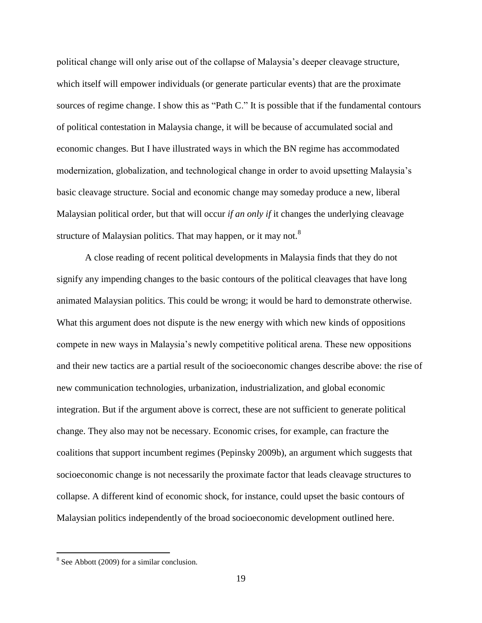political change will only arise out of the collapse of Malaysia's deeper cleavage structure, which itself will empower individuals (or generate particular events) that are the proximate sources of regime change. I show this as "Path C." It is possible that if the fundamental contours of political contestation in Malaysia change, it will be because of accumulated social and economic changes. But I have illustrated ways in which the BN regime has accommodated modernization, globalization, and technological change in order to avoid upsetting Malaysia's basic cleavage structure. Social and economic change may someday produce a new, liberal Malaysian political order, but that will occur *if an only if* it changes the underlying cleavage structure of Malaysian politics. That may happen, or it may not.<sup>8</sup>

A close reading of recent political developments in Malaysia finds that they do not signify any impending changes to the basic contours of the political cleavages that have long animated Malaysian politics. This could be wrong; it would be hard to demonstrate otherwise. What this argument does not dispute is the new energy with which new kinds of oppositions compete in new ways in Malaysia's newly competitive political arena. These new oppositions and their new tactics are a partial result of the socioeconomic changes describe above: the rise of new communication technologies, urbanization, industrialization, and global economic integration. But if the argument above is correct, these are not sufficient to generate political change. They also may not be necessary. Economic crises, for example, can fracture the coalitions that support incumbent regimes [\(Pepinsky 2009b\)](#page-23-13), an argument which suggests that socioeconomic change is not necessarily the proximate factor that leads cleavage structures to collapse. A different kind of economic shock, for instance, could upset the basic contours of Malaysian politics independently of the broad socioeconomic development outlined here.

<sup>&</sup>lt;sup>8</sup> See Abbott [\(2009\)](#page-20-5) for a similar conclusion.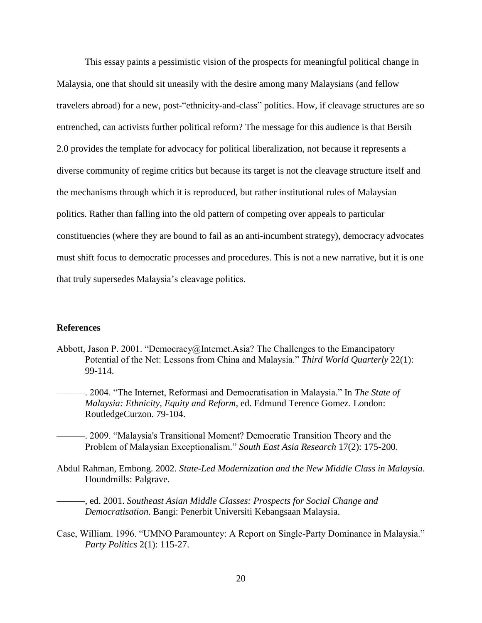This essay paints a pessimistic vision of the prospects for meaningful political change in Malaysia, one that should sit uneasily with the desire among many Malaysians (and fellow travelers abroad) for a new, post-"ethnicity-and-class" politics. How, if cleavage structures are so entrenched, can activists further political reform? The message for this audience is that Bersih 2.0 provides the template for advocacy for political liberalization, not because it represents a diverse community of regime critics but because its target is not the cleavage structure itself and the mechanisms through which it is reproduced, but rather institutional rules of Malaysian politics. Rather than falling into the old pattern of competing over appeals to particular constituencies (where they are bound to fail as an anti-incumbent strategy), democracy advocates must shift focus to democratic processes and procedures. This is not a new narrative, but it is one that truly supersedes Malaysia's cleavage politics.

#### **References**

- <span id="page-20-3"></span><span id="page-20-2"></span>Abbott, Jason P. 2001. "Democracy@Internet.Asia? The Challenges to the Emancipatory Potential of the Net: Lessons from China and Malaysia." *Third World Quarterly* 22(1): 99-114.
	- ———. 2004. "The Internet, Reformasi and Democratisation in Malaysia." In *The State of Malaysia: Ethnicity, Equity and Reform*, ed. Edmund Terence Gomez. London: RoutledgeCurzon. 79-104.
	- ———. 2009. "Malaysia's Transitional Moment? Democratic Transition Theory and the Problem of Malaysian Exceptionalism." *South East Asia Research* 17(2): 175-200.
- <span id="page-20-5"></span><span id="page-20-1"></span>Abdul Rahman, Embong. 2002. *State-Led Modernization and the New Middle Class in Malaysia*. Houndmills: Palgrave.
- <span id="page-20-0"></span>———, ed. 2001. *Southeast Asian Middle Classes: Prospects for Social Change and Democratisation*. Bangi: Penerbit Universiti Kebangsaan Malaysia.
- <span id="page-20-4"></span>Case, William. 1996. "UMNO Paramountcy: A Report on Single-Party Dominance in Malaysia." *Party Politics* 2(1): 115-27.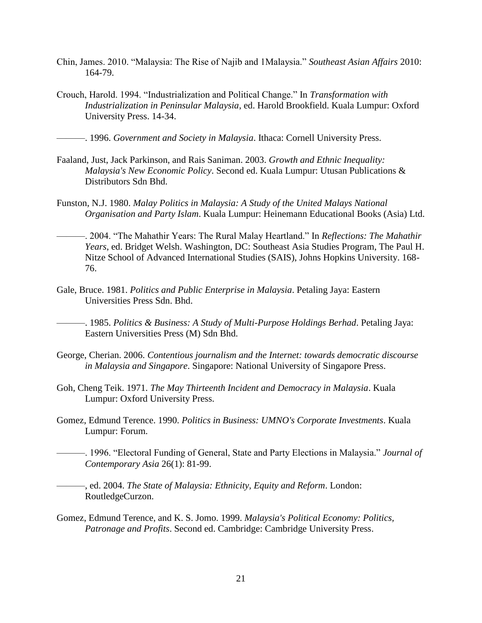- <span id="page-21-13"></span>Chin, James. 2010. "Malaysia: The Rise of Najib and 1Malaysia." *Southeast Asian Affairs* 2010: 164-79.
- <span id="page-21-4"></span>Crouch, Harold. 1994. "Industrialization and Political Change." In *Transformation with Industrialization in Peninsular Malaysia*, ed. Harold Brookfield. Kuala Lumpur: Oxford University Press. 14-34.

<span id="page-21-5"></span>———. 1996. *Government and Society in Malaysia*. Ithaca: Cornell University Press.

- <span id="page-21-2"></span>Faaland, Just, Jack Parkinson, and Rais Saniman. 2003. *Growth and Ethnic Inequality: Malaysia's New Economic Policy*. Second ed. Kuala Lumpur: Utusan Publications & Distributors Sdn Bhd.
- <span id="page-21-8"></span>Funston, N.J. 1980. *Malay Politics in Malaysia: A Study of the United Malays National Organisation and Party Islam*. Kuala Lumpur: Heinemann Educational Books (Asia) Ltd.
- <span id="page-21-9"></span>———. 2004. "The Mahathir Years: The Rural Malay Heartland." In *Reflections: The Mahathir Years*, ed. Bridget Welsh. Washington, DC: Southeast Asia Studies Program, The Paul H. Nitze School of Advanced International Studies (SAIS), Johns Hopkins University. 168- 76.
- <span id="page-21-6"></span>Gale, Bruce. 1981. *Politics and Public Enterprise in Malaysia*. Petaling Jaya: Eastern Universities Press Sdn. Bhd.

<span id="page-21-10"></span>———. 1985. *Politics & Business: A Study of Multi-Purpose Holdings Berhad*. Petaling Jaya: Eastern Universities Press (M) Sdn Bhd.

- <span id="page-21-11"></span>George, Cherian. 2006. *Contentious journalism and the Internet: towards democratic discourse in Malaysia and Singapore*. Singapore: National University of Singapore Press.
- <span id="page-21-1"></span>Goh, Cheng Teik. 1971. *The May Thirteenth Incident and Democracy in Malaysia*. Kuala Lumpur: Oxford University Press.
- <span id="page-21-7"></span>Gomez, Edmund Terence. 1990. *Politics in Business: UMNO's Corporate Investments*. Kuala Lumpur: Forum.
- <span id="page-21-12"></span>———. 1996. "Electoral Funding of General, State and Party Elections in Malaysia." *Journal of Contemporary Asia* 26(1): 81-99.

<span id="page-21-0"></span>———, ed. 2004. *The State of Malaysia: Ethnicity, Equity and Reform*. London: RoutledgeCurzon.

<span id="page-21-3"></span>Gomez, Edmund Terence, and K. S. Jomo. 1999. *Malaysia's Political Economy: Politics, Patronage and Profits*. Second ed. Cambridge: Cambridge University Press.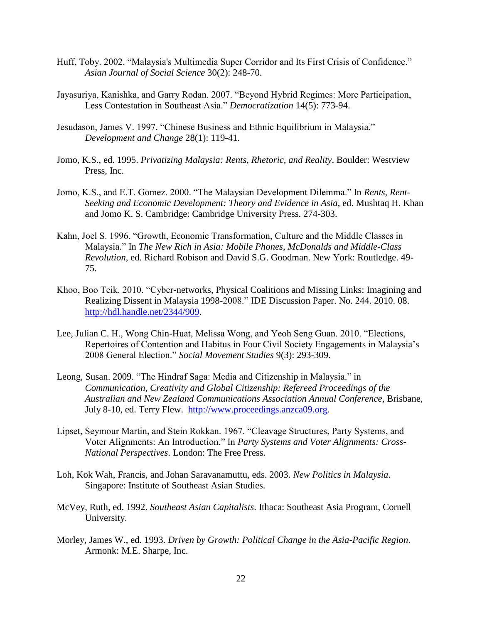- <span id="page-22-7"></span>Huff, Toby. 2002. "Malaysia's Multimedia Super Corridor and Its First Crisis of Confidence." *Asian Journal of Social Science* 30(2): 248-70.
- <span id="page-22-1"></span>Jayasuriya, Kanishka, and Garry Rodan. 2007. "Beyond Hybrid Regimes: More Participation, Less Contestation in Southeast Asia." *Democratization* 14(5): 773-94.
- <span id="page-22-6"></span>Jesudason, James V. 1997. "Chinese Business and Ethnic Equilibrium in Malaysia." *Development and Change* 28(1): 119-41.
- <span id="page-22-10"></span>Jomo, K.S., ed. 1995. *Privatizing Malaysia: Rents, Rhetoric, and Reality*. Boulder: Westview Press, Inc.
- <span id="page-22-5"></span>Jomo, K.S., and E.T. Gomez. 2000. "The Malaysian Development Dilemma." In *Rents, Rent-Seeking and Economic Development: Theory and Evidence in Asia*, ed. Mushtaq H. Khan and Jomo K. S. Cambridge: Cambridge University Press. 274-303.
- <span id="page-22-4"></span>Kahn, Joel S. 1996. "Growth, Economic Transformation, Culture and the Middle Classes in Malaysia." In *The New Rich in Asia: Mobile Phones, McDonalds and Middle-Class Revolution*, ed. Richard Robison and David S.G. Goodman. New York: Routledge. 49- 75.
- <span id="page-22-12"></span>Khoo, Boo Teik. 2010. "Cyber-networks, Physical Coalitions and Missing Links: Imagining and Realizing Dissent in Malaysia 1998-2008." IDE Discussion Paper. No. 244. 2010. 08. [http://hdl.handle.net/2344/909.](http://hdl.handle.net/2344/909)
- <span id="page-22-9"></span>Lee, Julian C. H., Wong Chin-Huat, Melissa Wong, and Yeoh Seng Guan. 2010. "Elections, Repertoires of Contention and Habitus in Four Civil Society Engagements in Malaysia's 2008 General Election." *Social Movement Studies* 9(3): 293-309.
- <span id="page-22-11"></span>Leong, Susan. 2009. "The Hindraf Saga: Media and Citizenship in Malaysia." in *Communication, Creativity and Global Citizenship: Refereed Proceedings of the Australian and New Zealand Communications Association Annual Conference*, Brisbane, July 8-10, ed. Terry Flew. [http://www.proceedings.anzca09.org.](http://www.proceedings.anzca09.org/)
- <span id="page-22-0"></span>Lipset, Seymour Martin, and Stein Rokkan. 1967. "Cleavage Structures, Party Systems, and Voter Alignments: An Introduction." In *Party Systems and Voter Alignments: Cross-National Perspectives*. London: The Free Press.
- <span id="page-22-8"></span>Loh, Kok Wah, Francis, and Johan Saravanamuttu, eds. 2003. *New Politics in Malaysia*. Singapore: Institute of Southeast Asian Studies.
- <span id="page-22-2"></span>McVey, Ruth, ed. 1992. *Southeast Asian Capitalists*. Ithaca: Southeast Asia Program, Cornell University.
- <span id="page-22-3"></span>Morley, James W., ed. 1993. *Driven by Growth: Political Change in the Asia-Pacific Region*. Armonk: M.E. Sharpe, Inc.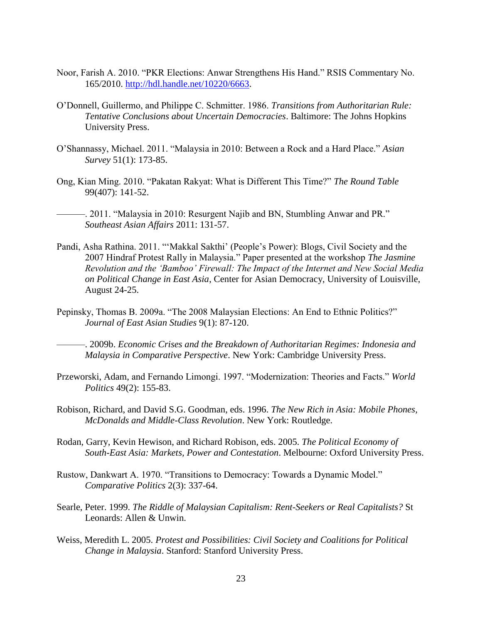- <span id="page-23-8"></span>Noor, Farish A. 2010. "PKR Elections: Anwar Strengthens His Hand." RSIS Commentary No. 165/2010. [http://hdl.handle.net/10220/6663.](http://hdl.handle.net/10220/6663)
- <span id="page-23-2"></span>O'Donnell, Guillermo, and Philippe C. Schmitter. 1986. *Transitions from Authoritarian Rule: Tentative Conclusions about Uncertain Democracies*. Baltimore: The Johns Hopkins University Press.
- <span id="page-23-5"></span>O'Shannassy, Michael. 2011. "Malaysia in 2010: Between a Rock and a Hard Place." *Asian Survey* 51(1): 173-85.
- <span id="page-23-12"></span>Ong, Kian Ming. 2010. "Pakatan Rakyat: What is Different This Time?" *The Round Table* 99(407): 141-52.
- <span id="page-23-11"></span>———. 2011. "Malaysia in 2010: Resurgent Najib and BN, Stumbling Anwar and PR." *Southeast Asian Affairs* 2011: 131-57.
- <span id="page-23-10"></span>Pandi, Asha Rathina. 2011. "'Makkal Sakthi' (People's Power): Blogs, Civil Society and the 2007 Hindraf Protest Rally in Malaysia." Paper presented at the workshop *The Jasmine Revolution and the 'Bamboo' Firewall: The Impact of the Internet and New Social Media on Political Change in East Asia*, Center for Asian Democracy, University of Louisville, August 24-25.
- <span id="page-23-13"></span><span id="page-23-9"></span>Pepinsky, Thomas B. 2009a. "The 2008 Malaysian Elections: An End to Ethnic Politics?" *Journal of East Asian Studies* 9(1): 87-120.
	- ———. 2009b. *Economic Crises and the Breakdown of Authoritarian Regimes: Indonesia and Malaysia in Comparative Perspective*. New York: Cambridge University Press.
- <span id="page-23-3"></span>Przeworski, Adam, and Fernando Limongi. 1997. "Modernization: Theories and Facts." *World Politics* 49(2): 155-83.
- <span id="page-23-0"></span>Robison, Richard, and David S.G. Goodman, eds. 1996. *The New Rich in Asia: Mobile Phones, McDonalds and Middle-Class Revolution*. New York: Routledge.
- <span id="page-23-1"></span>Rodan, Garry, Kevin Hewison, and Richard Robison, eds. 2005. *The Political Economy of South-East Asia: Markets, Power and Contestation*. Melbourne: Oxford University Press.
- <span id="page-23-4"></span>Rustow, Dankwart A. 1970. "Transitions to Democracy: Towards a Dynamic Model." *Comparative Politics* 2(3): 337-64.
- <span id="page-23-6"></span>Searle, Peter. 1999. *The Riddle of Malaysian Capitalism: Rent-Seekers or Real Capitalists?* St Leonards: Allen & Unwin.
- <span id="page-23-7"></span>Weiss, Meredith L. 2005. *Protest and Possibilities: Civil Society and Coalitions for Political Change in Malaysia*. Stanford: Stanford University Press.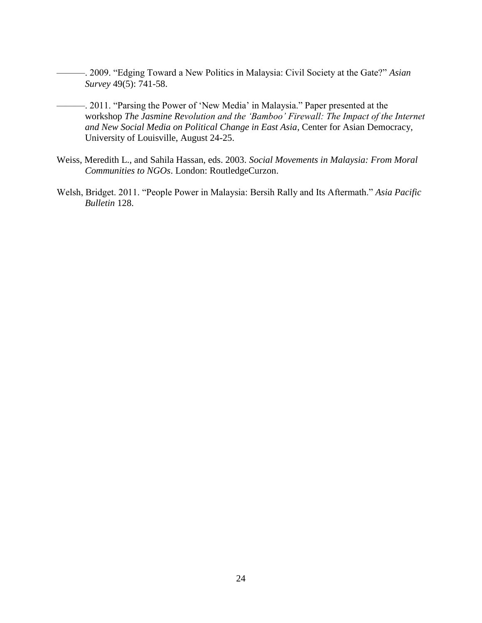- <span id="page-24-1"></span>———. 2009. "Edging Toward a New Politics in Malaysia: Civil Society at the Gate?" *Asian Survey* 49(5): 741-58.
- <span id="page-24-0"></span>———. 2011. "Parsing the Power of 'New Media' in Malaysia." Paper presented at the workshop *The Jasmine Revolution and the 'Bamboo' Firewall: The Impact of the Internet and New Social Media on Political Change in East Asia*, Center for Asian Democracy, University of Louisville, August 24-25.
- <span id="page-24-2"></span>Weiss, Meredith L., and Sahila Hassan, eds. 2003. *Social Movements in Malaysia: From Moral Communities to NGOs*. London: RoutledgeCurzon.
- <span id="page-24-3"></span>Welsh, Bridget. 2011. "People Power in Malaysia: Bersih Rally and Its Aftermath." *Asia Pacific Bulletin* 128.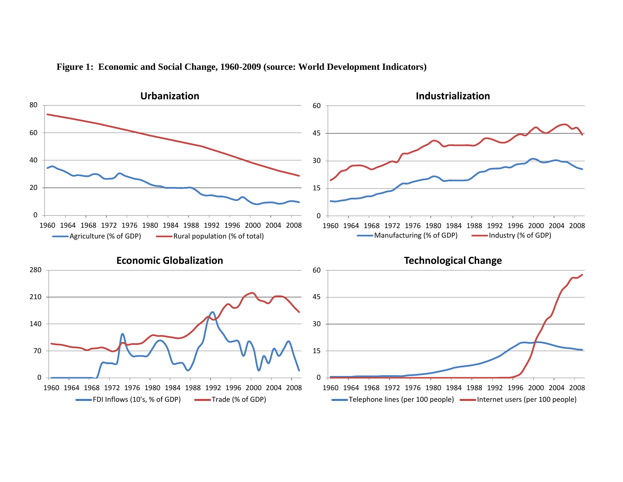<span id="page-25-0"></span>

## **Figure 1: Economic and Social Change, 1960-2009 (source: World Development Indicators)**